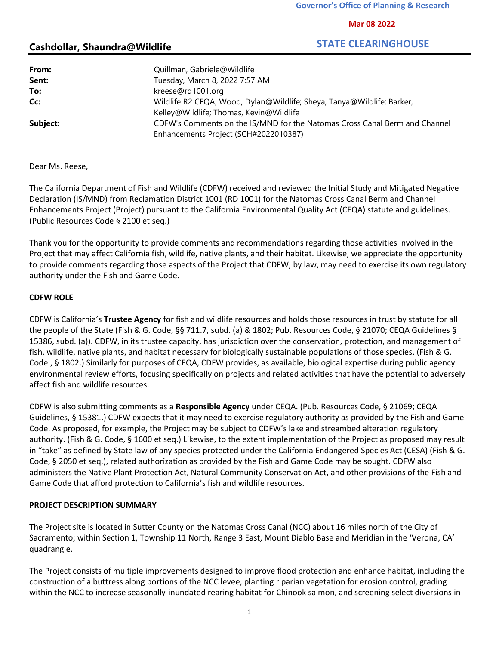### **Mar 08 2022**

# Cashdollar, Shaundra@Wildlife

 **STATE CLEARINGHOUSE**

| From:    | Quillman, Gabriele@Wildlife                                                                                         |
|----------|---------------------------------------------------------------------------------------------------------------------|
| Sent:    | Tuesday, March 8, 2022 7:57 AM                                                                                      |
| To:      | kreese@rd1001.org                                                                                                   |
| Cc:      | Wildlife R2 CEQA; Wood, Dylan@Wildlife; Sheya, Tanya@Wildlife; Barker,<br>Kelley@Wildlife; Thomas, Kevin@Wildlife   |
| Subject: | CDFW's Comments on the IS/MND for the Natomas Cross Canal Berm and Channel<br>Enhancements Project (SCH#2022010387) |

Dear Ms. Reese,

The California Department of Fish and Wildlife (CDFW) received and reviewed the Initial Study and Mitigated Negative Declaration (IS/MND) from Reclamation District 1001 (RD 1001) for the Natomas Cross Canal Berm and Channel Enhancements Project (Project) pursuant to the California Environmental Quality Act (CEQA) statute and guidelines. (Public Resources Code § 2100 et seq.)

Thank you for the opportunity to provide comments and recommendations regarding those activities involved in the Project that may affect California fish, wildlife, native plants, and their habitat. Likewise, we appreciate the opportunity to provide comments regarding those aspects of the Project that CDFW, by law, may need to exercise its own regulatory authority under the Fish and Game Code.

### CDFW ROLE

CDFW is California's Trustee Agency for fish and wildlife resources and holds those resources in trust by statute for all the people of the State (Fish & G. Code, §§ 711.7, subd. (a) & 1802; Pub. Resources Code, § 21070; CEQA Guidelines § 15386, subd. (a)). CDFW, in its trustee capacity, has jurisdiction over the conservation, protection, and management of fish, wildlife, native plants, and habitat necessary for biologically sustainable populations of those species. (Fish & G. Code., § 1802.) Similarly for purposes of CEQA, CDFW provides, as available, biological expertise during public agency environmental review efforts, focusing specifically on projects and related activities that have the potential to adversely affect fish and wildlife resources.

CDFW is also submitting comments as a Responsible Agency under CEQA. (Pub. Resources Code, § 21069; CEQA Guidelines, § 15381.) CDFW expects that it may need to exercise regulatory authority as provided by the Fish and Game Code. As proposed, for example, the Project may be subject to CDFW's lake and streambed alteration regulatory authority. (Fish & G. Code, § 1600 et seq.) Likewise, to the extent implementation of the Project as proposed may result in "take" as defined by State law of any species protected under the California Endangered Species Act (CESA) (Fish & G. Code, § 2050 et seq.), related authorization as provided by the Fish and Game Code may be sought. CDFW also administers the Native Plant Protection Act, Natural Community Conservation Act, and other provisions of the Fish and Game Code that afford protection to California's fish and wildlife resources.

## PROJECT DESCRIPTION SUMMARY

The Project site is located in Sutter County on the Natomas Cross Canal (NCC) about 16 miles north of the City of Sacramento; within Section 1, Township 11 North, Range 3 East, Mount Diablo Base and Meridian in the 'Verona, CA' quadrangle.

The Project consists of multiple improvements designed to improve flood protection and enhance habitat, including the construction of a buttress along portions of the NCC levee, planting riparian vegetation for erosion control, grading within the NCC to increase seasonally-inundated rearing habitat for Chinook salmon, and screening select diversions in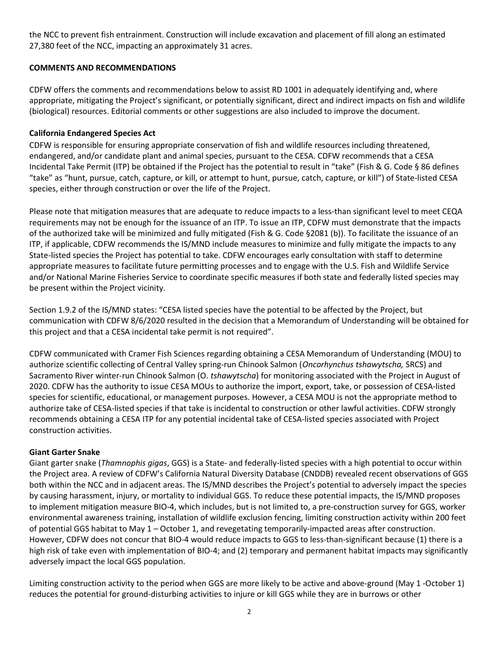the NCC to prevent fish entrainment. Construction will include excavation and placement of fill along an estimated 27,380 feet of the NCC, impacting an approximately 31 acres.

# COMMENTS AND RECOMMENDATIONS

CDFW offers the comments and recommendations below to assist RD 1001 in adequately identifying and, where appropriate, mitigating the Project's significant, or potentially significant, direct and indirect impacts on fish and wildlife (biological) resources. Editorial comments or other suggestions are also included to improve the document.

# California Endangered Species Act

CDFW is responsible for ensuring appropriate conservation of fish and wildlife resources including threatened, endangered, and/or candidate plant and animal species, pursuant to the CESA. CDFW recommends that a CESA Incidental Take Permit (ITP) be obtained if the Project has the potential to result in "take" (Fish & G. Code § 86 defines "take" as "hunt, pursue, catch, capture, or kill, or attempt to hunt, pursue, catch, capture, or kill") of State-listed CESA species, either through construction or over the life of the Project.

Please note that mitigation measures that are adequate to reduce impacts to a less-than significant level to meet CEQA requirements may not be enough for the issuance of an ITP. To issue an ITP, CDFW must demonstrate that the impacts of the authorized take will be minimized and fully mitigated (Fish & G. Code §2081 (b)). To facilitate the issuance of an ITP, if applicable, CDFW recommends the IS/MND include measures to minimize and fully mitigate the impacts to any State-listed species the Project has potential to take. CDFW encourages early consultation with staff to determine appropriate measures to facilitate future permitting processes and to engage with the U.S. Fish and Wildlife Service and/or National Marine Fisheries Service to coordinate specific measures if both state and federally listed species may be present within the Project vicinity.

Section 1.9.2 of the IS/MND states: "CESA listed species have the potential to be affected by the Project, but communication with CDFW 8/6/2020 resulted in the decision that a Memorandum of Understanding will be obtained for this project and that a CESA incidental take permit is not required".

CDFW communicated with Cramer Fish Sciences regarding obtaining a CESA Memorandum of Understanding (MOU) to authorize scientific collecting of Central Valley spring-run Chinook Salmon (Oncorhynchus tshawytscha, SRCS) and Sacramento River winter-run Chinook Salmon (O. tshawytscha) for monitoring associated with the Project in August of 2020. CDFW has the authority to issue CESA MOUs to authorize the import, export, take, or possession of CESA-listed species for scientific, educational, or management purposes. However, a CESA MOU is not the appropriate method to authorize take of CESA-listed species if that take is incidental to construction or other lawful activities. CDFW strongly recommends obtaining a CESA ITP for any potential incidental take of CESA-listed species associated with Project construction activities.

## Giant Garter Snake

Giant garter snake (Thamnophis gigas, GGS) is a State- and federally-listed species with a high potential to occur within the Project area. A review of CDFW's California Natural Diversity Database (CNDDB) revealed recent observations of GGS both within the NCC and in adjacent areas. The IS/MND describes the Project's potential to adversely impact the species by causing harassment, injury, or mortality to individual GGS. To reduce these potential impacts, the IS/MND proposes to implement mitigation measure BIO-4, which includes, but is not limited to, a pre-construction survey for GGS, worker environmental awareness training, installation of wildlife exclusion fencing, limiting construction activity within 200 feet of potential GGS habitat to May 1 – October 1, and revegetating temporarily-impacted areas after construction. However, CDFW does not concur that BIO-4 would reduce impacts to GGS to less-than-significant because (1) there is a high risk of take even with implementation of BIO-4; and (2) temporary and permanent habitat impacts may significantly adversely impact the local GGS population.

Limiting construction activity to the period when GGS are more likely to be active and above-ground (May 1 -October 1) reduces the potential for ground-disturbing activities to injure or kill GGS while they are in burrows or other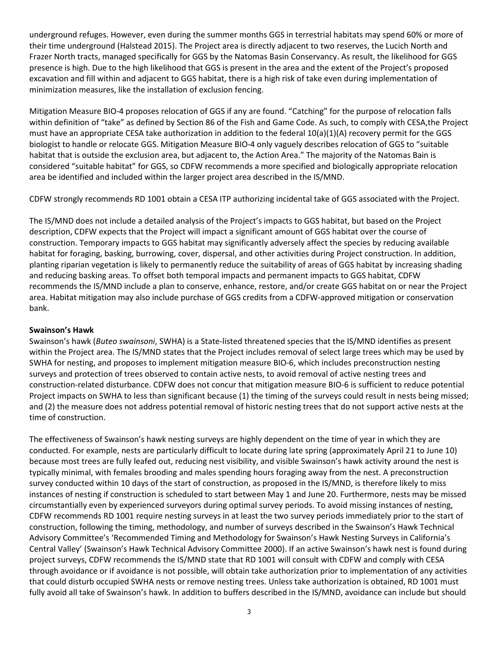underground refuges. However, even during the summer months GGS in terrestrial habitats may spend 60% or more of their time underground (Halstead 2015). The Project area is directly adjacent to two reserves, the Lucich North and Frazer North tracts, managed specifically for GGS by the Natomas Basin Conservancy. As result, the likelihood for GGS presence is high. Due to the high likelihood that GGS is present in the area and the extent of the Project's proposed excavation and fill within and adjacent to GGS habitat, there is a high risk of take even during implementation of minimization measures, like the installation of exclusion fencing.

Mitigation Measure BIO-4 proposes relocation of GGS if any are found. "Catching" for the purpose of relocation falls within definition of "take" as defined by Section 86 of the Fish and Game Code. As such, to comply with CESA,the Project must have an appropriate CESA take authorization in addition to the federal 10(a)(1)(A) recovery permit for the GGS biologist to handle or relocate GGS. Mitigation Measure BIO-4 only vaguely describes relocation of GGS to "suitable habitat that is outside the exclusion area, but adjacent to, the Action Area." The majority of the Natomas Bain is considered "suitable habitat" for GGS, so CDFW recommends a more specified and biologically appropriate relocation area be identified and included within the larger project area described in the IS/MND.

CDFW strongly recommends RD 1001 obtain a CESA ITP authorizing incidental take of GGS associated with the Project.

The IS/MND does not include a detailed analysis of the Project's impacts to GGS habitat, but based on the Project description, CDFW expects that the Project will impact a significant amount of GGS habitat over the course of construction. Temporary impacts to GGS habitat may significantly adversely affect the species by reducing available habitat for foraging, basking, burrowing, cover, dispersal, and other activities during Project construction. In addition, planting riparian vegetation is likely to permanently reduce the suitability of areas of GGS habitat by increasing shading and reducing basking areas. To offset both temporal impacts and permanent impacts to GGS habitat, CDFW recommends the IS/MND include a plan to conserve, enhance, restore, and/or create GGS habitat on or near the Project area. Habitat mitigation may also include purchase of GGS credits from a CDFW-approved mitigation or conservation bank.

## Swainson's Hawk

Swainson's hawk (Buteo swainsoni, SWHA) is a State-listed threatened species that the IS/MND identifies as present within the Project area. The IS/MND states that the Project includes removal of select large trees which may be used by SWHA for nesting, and proposes to implement mitigation measure BIO-6, which includes preconstruction nesting surveys and protection of trees observed to contain active nests, to avoid removal of active nesting trees and construction-related disturbance. CDFW does not concur that mitigation measure BIO-6 is sufficient to reduce potential Project impacts on SWHA to less than significant because (1) the timing of the surveys could result in nests being missed; and (2) the measure does not address potential removal of historic nesting trees that do not support active nests at the time of construction.

The effectiveness of Swainson's hawk nesting surveys are highly dependent on the time of year in which they are conducted. For example, nests are particularly difficult to locate during late spring (approximately April 21 to June 10) because most trees are fully leafed out, reducing nest visibility, and visible Swainson's hawk activity around the nest is typically minimal, with females brooding and males spending hours foraging away from the nest. A preconstruction survey conducted within 10 days of the start of construction, as proposed in the IS/MND, is therefore likely to miss instances of nesting if construction is scheduled to start between May 1 and June 20. Furthermore, nests may be missed circumstantially even by experienced surveyors during optimal survey periods. To avoid missing instances of nesting, CDFW recommends RD 1001 require nesting surveys in at least the two survey periods immediately prior to the start of construction, following the timing, methodology, and number of surveys described in the Swainson's Hawk Technical Advisory Committee's 'Recommended Timing and Methodology for Swainson's Hawk Nesting Surveys in California's Central Valley' (Swainson's Hawk Technical Advisory Committee 2000). If an active Swainson's hawk nest is found during project surveys, CDFW recommends the IS/MND state that RD 1001 will consult with CDFW and comply with CESA through avoidance or if avoidance is not possible, will obtain take authorization prior to implementation of any activities that could disturb occupied SWHA nests or remove nesting trees. Unless take authorization is obtained, RD 1001 must fully avoid all take of Swainson's hawk. In addition to buffers described in the IS/MND, avoidance can include but should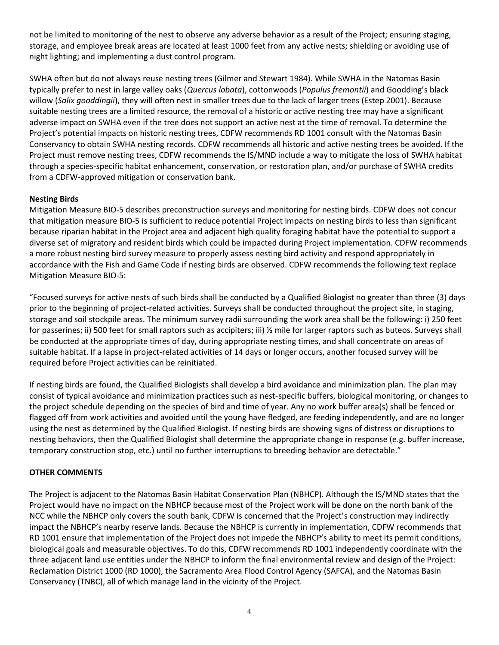not be limited to monitoring of the nest to observe any adverse behavior as a result of the Project; ensuring staging, storage, and employee break areas are located at least 1000 feet from any active nests; shielding or avoiding use of night lighting; and implementing a dust control program.

SWHA often but do not always reuse nesting trees (Gilmer and Stewart 1984). While SWHA in the Natomas Basin typically prefer to nest in large valley oaks (Quercus lobata), cottonwoods (Populus fremontii) and Goodding's black willow (Salix gooddingii), they will often nest in smaller trees due to the lack of larger trees (Estep 2001). Because suitable nesting trees are a limited resource, the removal of a historic or active nesting tree may have a significant adverse impact on SWHA even if the tree does not support an active nest at the time of removal. To determine the Project's potential impacts on historic nesting trees, CDFW recommends RD 1001 consult with the Natomas Basin Conservancy to obtain SWHA nesting records. CDFW recommends all historic and active nesting trees be avoided. If the Project must remove nesting trees, CDFW recommends the IS/MND include a way to mitigate the loss of SWHA habitat through a species-specific habitat enhancement, conservation, or restoration plan, and/or purchase of SWHA credits from a CDFW-approved mitigation or conservation bank.

# Nesting Birds

Mitigation Measure BIO-5 describes preconstruction surveys and monitoring for nesting birds. CDFW does not concur that mitigation measure BIO-5 is sufficient to reduce potential Project impacts on nesting birds to less than significant because riparian habitat in the Project area and adjacent high quality foraging habitat have the potential to support a diverse set of migratory and resident birds which could be impacted during Project implementation. CDFW recommends a more robust nesting bird survey measure to properly assess nesting bird activity and respond appropriately in accordance with the Fish and Game Code if nesting birds are observed. CDFW recommends the following text replace Mitigation Measure BIO-5:

"Focused surveys for active nests of such birds shall be conducted by a Qualified Biologist no greater than three (3) days prior to the beginning of project-related activities. Surveys shall be conducted throughout the project site, in staging, storage and soil stockpile areas. The minimum survey radii surrounding the work area shall be the following: i) 250 feet for passerines; ii) 500 feet for small raptors such as accipiters; iii) % mile for larger raptors such as buteos. Surveys shall be conducted at the appropriate times of day, during appropriate nesting times, and shall concentrate on areas of suitable habitat. If a lapse in project-related activities of 14 days or longer occurs, another focused survey will be required before Project activities can be reinitiated.

If nesting birds are found, the Qualified Biologists shall develop a bird avoidance and minimization plan. The plan may consist of typical avoidance and minimization practices such as nest-specific buffers, biological monitoring, or changes to the project schedule depending on the species of bird and time of year. Any no work buffer area(s) shall be fenced or flagged off from work activities and avoided until the young have fledged, are feeding independently, and are no longer using the nest as determined by the Qualified Biologist. If nesting birds are showing signs of distress or disruptions to nesting behaviors, then the Qualified Biologist shall determine the appropriate change in response (e.g. buffer increase, temporary construction stop, etc.) until no further interruptions to breeding behavior are detectable."

## OTHER COMMENTS

The Project is adjacent to the Natomas Basin Habitat Conservation Plan (NBHCP). Although the IS/MND states that the Project would have no impact on the NBHCP because most of the Project work will be done on the north bank of the NCC while the NBHCP only covers the south bank, CDFW is concerned that the Project's construction may indirectly impact the NBHCP's nearby reserve lands. Because the NBHCP is currently in implementation, CDFW recommends that RD 1001 ensure that implementation of the Project does not impede the NBHCP's ability to meet its permit conditions, biological goals and measurable objectives. To do this, CDFW recommends RD 1001 independently coordinate with the three adjacent land use entities under the NBHCP to inform the final environmental review and design of the Project: Reclamation District 1000 (RD 1000), the Sacramento Area Flood Control Agency (SAFCA), and the Natomas Basin Conservancy (TNBC), all of which manage land in the vicinity of the Project.